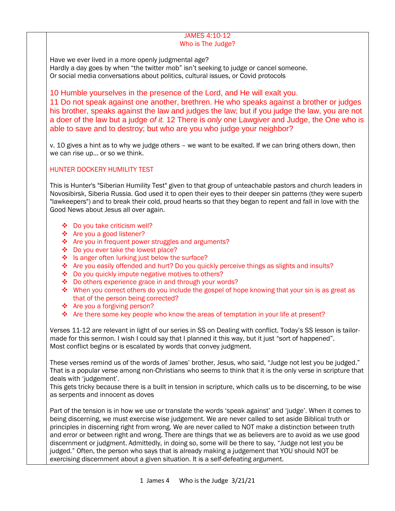### JAMES 4:10-12 Who is The Judge?

Have we ever lived in a more openly judgmental age? Hardly a day goes by when "the twitter mob" isn't seeking to judge or cancel someone. Or social media conversations about politics, cultural issues, or Covid protocols

10 Humble yourselves in the presence of the Lord, and He will exalt you. 11 Do not speak against one another, brethren. He who speaks against a brother or judges his brother, speaks against the law and judges the law; but if you judge the law, you are not a doer of the law but a judge *of it.* 12 There is *only* one Lawgiver and Judge, the One who is able to save and to destroy; but who are you who judge your neighbor?

v. 10 gives a hint as to why we judge others – we want to be exalted. If we can bring others down, then we can rise up… or so we think.

## HUNTER DOCKERY HUMILITY TEST

This is Hunter's "Siberian Humility Test" given to that group of unteachable pastors and church leaders in Novosibirsk, Siberia Russia. God used it to open their eyes to their deeper sin patterns (they were superb "lawkeepers") and to break their cold, proud hearts so that they began to repent and fall in love with the Good News about Jesus all over again.

- Do you take criticism well?
- Are you a good listener?
- ❖ Are you in frequent power struggles and arguments?
- ◆ Do you ever take the lowest place?
- $\cdot$  Is anger often lurking just below the surface?
- \* Are you easily offended and hurt? Do you quickly perceive things as slights and insults?
- ❖ Do you quickly impute negative motives to others?
- Do others experience grace in and through your words?
- $\bullet$  When you correct others do you include the gospel of hope knowing that your sin is as great as that of the person being corrected?
- ❖ Are you a forgiving person?
- Are there some key people who know the areas of temptation in your life at present?

Verses 11-12 are relevant in light of our series in SS on Dealing with conflict. Today's SS lesson is tailormade for this sermon. I wish I could say that I planned it this way, but it just "sort of happened". Most conflict begins or is escalated by words that convey judgment.

These verses remind us of the words of James' brother, Jesus, who said, "Judge not lest you be judged." That is a popular verse among non-Christians who seems to think that it is the only verse in scripture that deals with 'judgement'.

This gets tricky because there is a built in tension in scripture, which calls us to be discerning, to be wise as serpents and innocent as doves

Part of the tension is in how we use or translate the words 'speak against' and 'judge'. When it comes to being discerning, we must exercise wise judgement. We are never called to set aside Biblical truth or principles in discerning right from wrong. We are never called to NOT make a distinction between truth and error or between right and wrong. There are things that we as believers are to avoid as we use good discernment or judgment. Admittedly, in doing so, some will be there to say, "Judge not lest you be judged." Often, the person who says that is already making a judgement that YOU should NOT be exercising discernment about a given situation. It is a self-defeating argument.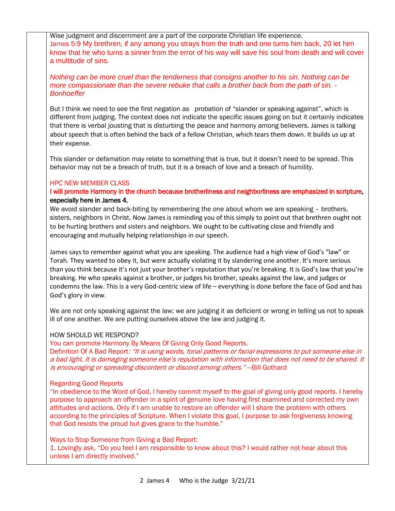Wise judgment and discernment are a part of the corporate Christian life experience. James 5:9 My brethren, if any among you strays from the truth and one turns him back, 20 let him know that he who turns a sinner from the error of his way will save his soul from death and will cover a multitude of sins.

*Nothing can be more cruel than the tenderness that consigns another to his sin. Nothing can be more compassionate than the severe rebuke that calls a brother back from the path of sin. - Bonhoeffer*

But I think we need to see the first negation as probation of "slander or speaking against", which is different from judging. The context does not indicate the specific issues going on but it certainly indicates that there is verbal jousting that is disturbing the peace and harmony among believers. James is talking about speech that is often behind the back of a fellow Christian, which tears them down. It builds us up at their expense.

This slander or defamation may relate to something that is true, but it doesn't need to be spread. This behavior may not be a breach of truth, but it is a breach of love and a breach of humility.

### HPC NEW MEMBER CLASS

# I will promote Harmony in the church because brotherliness and neighborliness are emphasized in scripture, especially here in James 4.

We avoid slander and back-biting by remembering the one about whom we are speaking - brothers, sisters, neighbors in Christ. Now James is reminding you of this simply to point out that brethren ought not to be hurting brothers and sisters and neighbors. We ought to be cultivating close and friendly and encouraging and mutually helping relationships in our speech.

James says to remember against what you are speaking. The audience had a high view of God's "law" or Torah. They wanted to obey it, but were actually violating it by slandering one another. It's more serious than you think because it's not just your brother's reputation that you're breaking. It is God's law that you're breaking. He who speaks against a brother, or judges his brother, speaks against the law, and judges or condemns the law. This is a very God-centric view of life – everything is done before the face of God and has God's glory in view.

We are not only speaking against the law; we are judging it as deficient or wrong in telling us not to speak ill of one another. We are putting ourselves above the law and judging it.

#### HOW SHOULD WE RESPOND?

You can promote Harmony By Means Of Giving Only Good Reports. Definition Of A Bad Report: "It is using words, tonal patterns or facial expressions to put someone else in a bad light. It is damaging someone else's reputation with information that does not need to be shared. It is encouraging or spreading discontent or discord among others." —Bill Gothard

#### Regarding Good Reports

"In obedience to the Word of God, I hereby commit myself to the goal of giving only good reports. I hereby purpose to approach an offender in a spirit of genuine love having first examined and corrected my own attitudes and actions. Only if I am unable to restore an offender will I share the problem with others according to the principles of Scripture. When I violate this goal, I purpose to ask forgiveness knowing that God resists the proud but gives grace to the humble."

Ways to Stop Someone from Giving a Bad Report: 1. Lovingly ask, "Do you feel I am responsible to know about this? I would rather not hear about this unless I am directly involved."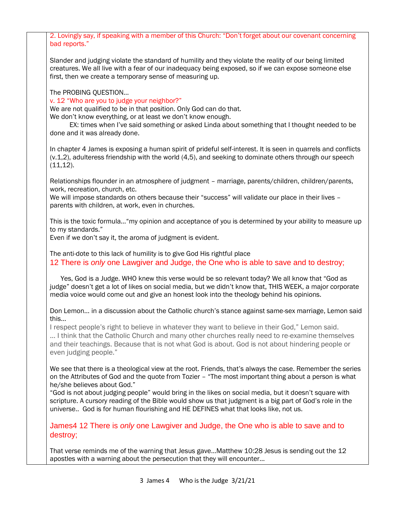2. Lovingly say, if speaking with a member of this Church: "Don't forget about our covenant concerning bad reports." Slander and judging violate the standard of humility and they violate the reality of our being limited creatures. We all live with a fear of our inadequacy being exposed, so if we can expose someone else first, then we create a temporary sense of measuring up. The PROBING QUESTION… v. 12 "Who are you to judge your neighbor?" We are not qualified to be in that position. Only God can do that. We don't know everything, or at least we don't know enough. EX: times when I've said something or asked Linda about something that I thought needed to be done and it was already done. In chapter 4 James is exposing a human spirit of prideful self-interest. It is seen in quarrels and conflicts (v.1,2), adulteress friendship with the world (4,5), and seeking to dominate others through our speech  $(11, 12)$ . Relationships flounder in an atmosphere of judgment – marriage, parents/children, children/parents, work, recreation, church, etc. We will impose standards on others because their "success" will validate our place in their lives parents with children, at work, even in churches. This is the toxic formula…"my opinion and acceptance of you is determined by your ability to measure up to my standards." Even if we don't say it, the aroma of judgment is evident. The anti-dote to this lack of humility is to give God His rightful place 12 There is *only* one Lawgiver and Judge, the One who is able to save and to destroy; Yes, God is a Judge. WHO knew this verse would be so relevant today? We all know that "God as judge" doesn't get a lot of likes on social media, but we didn't know that, THIS WEEK, a major corporate media voice would come out and give an honest look into the theology behind his opinions. Don Lemon… in a discussion about the Catholic church's stance against same-sex marriage, Lemon said this… I respect people's right to believe in whatever they want to believe in their God," Lemon said. … I think that the Catholic Church and many other churches really need to re-examine themselves and their teachings. Because that is not what God is about. God is not about hindering people or even judging people." We see that there is a theological view at the root. Friends, that's always the case. Remember the series on the Attributes of God and the quote from Tozier – "The most important thing about a person is what he/she believes about God." "God is not about judging people" would bring in the likes on social media, but it doesn't square with scripture. A cursory reading of the Bible would show us that judgment is a big part of God's role in the universe.. God is for human flourishing and HE DEFINES what that looks like, not us. James4 12 There is *only* one Lawgiver and Judge, the One who is able to save and to destroy; That verse reminds me of the warning that Jesus gave…Matthew 10:28 Jesus is sending out the 12 apostles with a warning about the persecution that they will encounter…